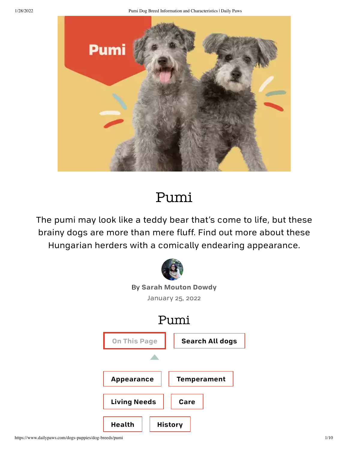1/28/2022 Pumi Dog Breed Information and Characteristics | Daily Paws



# Pumi

The pumi may look like a teddy bear that's come to life, but these brainy dogs are more than mere fluff. Find out more about these Hungarian herders with a comically endearing appearance.

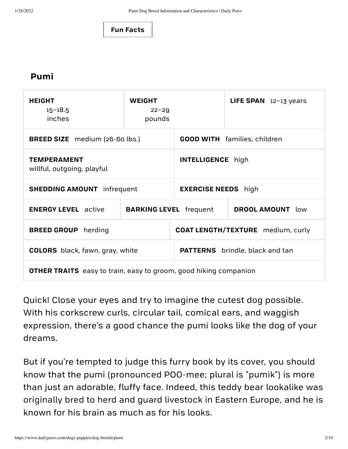

#### **Pumi**

| <b>HEIGHT</b><br>$15 - 18.5$<br>inches                                  | <b>WEIGHT</b><br>$22 - 29$<br>pounds |                                          | LIFE SPAN $12-13$ years |
|-------------------------------------------------------------------------|--------------------------------------|------------------------------------------|-------------------------|
| <b>BREED SIZE</b> medium (26-60 lbs.)                                   |                                      | <b>GOOD WITH</b> families, children      |                         |
| <b>TEMPERAMENT</b><br>willful, outgoing, playful                        |                                      | <b>INTELLIGENCE</b> high                 |                         |
| <b>SHEDDING AMOUNT</b> infrequent                                       |                                      | <b>EXERCISE NEEDS</b> high               |                         |
| <b>ENERGY LEVEL</b> active                                              | <b>BARKING LEVEL</b> frequent        |                                          | <b>DROOL AMOUNT</b> low |
| <b>BREED GROUP</b> herding                                              |                                      | <b>COAT LENGTH/TEXTURE</b> medium, curly |                         |
| <b>COLORS</b> black, fawn, gray, white                                  |                                      | <b>PATTERNS</b> brindle, black and tan   |                         |
| <b>OTHER TRAITS</b> easy to train, easy to groom, good hiking companion |                                      |                                          |                         |

Quick! Close your eyes and try to imagine the cutest dog possible. With his corkscrew curls, circular tail, comical ears, and waggish expression, there's a good chance the pumi looks like the dog of your dreams.

But if you're tempted to judge this furry book by its cover, you should know that the pumi (pronounced POO-mee; plural is "pumik") is more than just an adorable, fluffy face. Indeed, this teddy bear lookalike was [originally](https://www.dailypaws.com/dogs-puppies/dog-breeds/finder?breed_group=herding) bred to herd and guard livestock in Eastern Europe, and he is known for his brain as much as for his looks.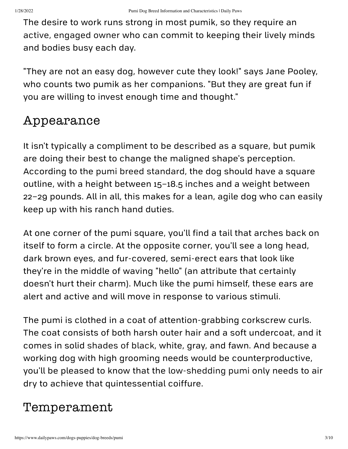The desire to work runs strong in most pumik, so they require an active, [engaged](https://www.dailypaws.com/living-with-pets/pet-compatibility/active-dog-breeds) owner who can commit to keeping their lively minds and bodies busy each day.

"They are not an easy dog, however cute they look!" says Jane Pooley, who counts two pumik as her companions. "But they are great fun if you are willing to invest enough time and thought."

## <span id="page-2-0"></span>Appearance

It isn't typically a compliment to be described as a square, but pumik are doing their best to change the maligned shape's perception. According to the pumi breed [standard](http://images.akc.org/pdf/breeds/standards/Pumi.pdf), the dog should have a square outline, with a height between 15–18.5 inches and a weight between 22–29 pounds. All in all, this makes for a lean, agile dog who can easily keep up with his ranch hand duties.

At one corner of the pumi square, you'll find a tail that arches back on itself to form a circle. At the opposite corner, you'll see a long head, dark brown eyes, and fur-covered, semi-erect ears that look like they're in the middle of waving "hello" (an attribute that certainly doesn't hurt their charm). Much like the pumi himself, these ears are alert and active and will move in response to various stimuli.

The pumi is clothed in a coat of attention-grabbing corkscrew curls. The coat consists of both harsh outer hair and a soft undercoat, and it comes in solid [shades](https://www.dailypaws.com/living-with-pets/pet-compatibility/black-dog-breeds) of black, white, gray, and fawn. And because a working dog with high grooming needs would be counterproductive, you'll be pleased to know that the [low-shedding](https://www.dailypaws.com/living-with-pets/pet-compatibility/dog-breeds-that-dont-shed) pumi only needs to air dry to achieve that quintessential coiffure.

## <span id="page-2-1"></span>Temperament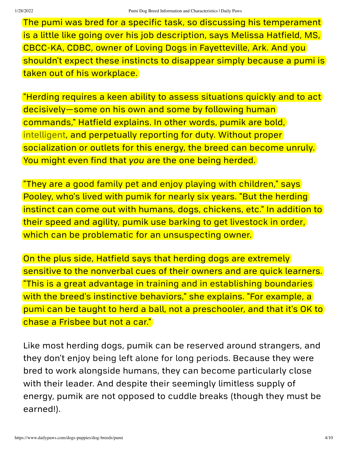The pumi was bred for a specific task, so discussing his temperament is a little like going over his job description, says Melissa Hatfield, MS, CBCC-KA, CDBC, owner of [Loving](https://www.lovingdogs.net/) Dogs in Fayetteville, Ark. And you shouldn't expect these instincts to disappear simply because a pumi is taken out of his workplace.

"Herding requires a keen ability to assess situations quickly and to act decisively—some on his own and some by following human commands," Hatfield explains. In other words, pumik are bold, [intelligent](https://www.dailypaws.com/living-with-pets/pet-compatibility/smartest-dog-breeds), and perpetually reporting for duty. Without proper socialization or outlets for this energy, the breed can become unruly. You might even find that *you* are the one being herded.

"They are a good [family](https://www.dailypaws.com/living-with-pets/pet-compatibility/best-family-dogs) pet and enjoy playing with [children,](https://www.dailypaws.com/living-with-pets/pet-compatibility/best-dog-breeds-for-kids)" says Pooley, who's lived with pumik for nearly six years. "But the herding instinct can come out with humans, dogs, chickens, etc." In addition to their speed and agility, pumik use barking to get [livestock](https://www.dailypaws.com/dogs-puppies/dog-behavior/common-dog-behaviors/how-to-stop-a-dog-from-barking) in order, which can be problematic for an unsuspecting owner.

On the plus side, Hatfield says that herding dogs are extremely sensitive to the nonverbal cues of their owners and are quick learners. "This is a great advantage in training and in [establishing](https://www.dailypaws.com/dogs-puppies/dog-training/basic/dog-obedience-training) boundaries with the breed's instinctive behaviors," she explains. "For example, a pumi can be taught to herd a ball, not a preschooler, and that it's OK to chase a Frisbee but not a car."

Like most herding dogs, pumik can be reserved around strangers, and they don't enjoy being left alone for long [periods.](https://www.dailypaws.com/syndication/separation-anxiety-in-dogs) Because they were bred to work alongside humans, they can become particularly close with their leader. And despite their seemingly limitless supply of energy, pumik are not opposed to cuddle breaks (though they must be earned!).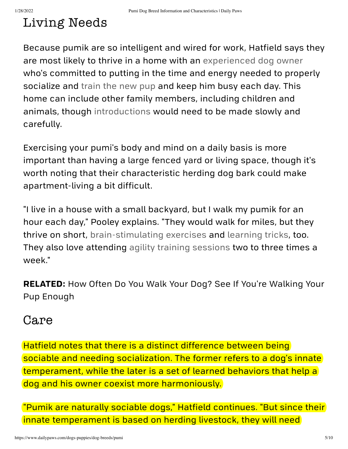## <span id="page-4-0"></span>Living Needs

Because pumik are so intelligent and wired for work, Hatfield says they are most likely to thrive in a home with an [experienced](https://www.dailypaws.com/living-with-pets/pet-owner-relationship/when-am-i-considered-an-experienced-dog-owner) dog owner who's committed to putting in the time and energy needed to properly socialize and [train](https://www.dailypaws.com/dogs-puppies/dog-training/basic/dog-training) the new pup and keep him busy each day. This home can include other family members, including children and animals, though [introductions](https://www.dailypaws.com/living-with-pets/pet-owner-relationship/family-changes/how-to-introduce-dogs) would need to be made slowly and carefully.

Exercising your pumi's body and mind on a daily basis is more important than having a large [fenced](https://www.dailypaws.com/living-with-pets/pet-friendly-home/dog-fence) yard or living space, though it's worth noting that their characteristic herding dog bark could make apartment-living a bit difficult.

"I live in a house with a small backyard, but I walk my pumik for an hour each day," Pooley explains. "They would walk for miles, but they thrive on short, [brain-stimulating](https://www.dailypaws.com/dogs-puppies/dog-exercise-play) exercises and [learning](https://www.dailypaws.com/dogs-puppies/dog-training/basic/dog-tricks) tricks, too. They also love attending agility training [sessions](https://www.dailypaws.com/dogs-puppies/dog-training/agility-competitive/dog-agility-training) two to three times a week."

**[RELATED:](https://www.dailypaws.com/dogs-puppies/dog-exercise-play/how-often-do-you-walk-your-dog)** How Often Do You Walk Your Dog? See If You're Walking Your Pup Enough

### <span id="page-4-1"></span>Care

Hatfield notes that there is a distinct difference between being sociable and needing socialization. The former refers to a dog's innate temperament, while the later is a set of learned behaviors that help a dog and his owner coexist more harmoniously.

"Pumik are naturally sociable dogs," Hatfield continues. "But since their innate temperament is based on herding livestock, they will need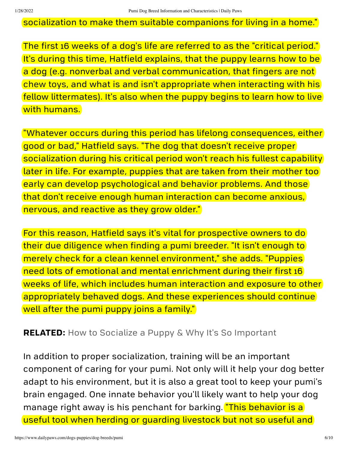socialization to make them suitable companions for living in a home."

The first 16 weeks of a dog's life are referred to as the "critical period." It's during this time, Hatfield explains, that the puppy learns how to be a dog (e.g. nonverbal and verbal [communication,](https://www.dailypaws.com/dogs-puppies/dog-behavior/common-dog-behaviors/how-to-stop-a-puppy-from-biting) that fingers are not chew toys, and what is and isn't appropriate when interacting with his fellow littermates). It's also when the puppy begins to learn how to live with humans.

"Whatever occurs during this period has lifelong consequences, either good or bad," Hatfield says. "The dog that doesn't receive proper socialization during his critical period won't reach his fullest capability later in life. For example, puppies that are taken from their mother too early can develop psychological and behavior problems. And those that don't receive enough human interaction can become anxious, nervous, and reactive as they grow older."

For this reason, Hatfield says it's vital for prospective owners to do their due diligence when finding a pumi breeder. "It isn't enough to merely check for a clean kennel environment," she adds. "Puppies need lots of emotional and mental enrichment during their first 16 weeks of life, which includes human interaction and exposure to other appropriately behaved dogs. And these experiences should continue well after the pumi puppy joins a family."

**RELATED:** How to Socialize a Puppy & Why It's So [Important](https://www.dailypaws.com/dogs-puppies/dog-training/basic/how-to-socialize-a-puppy)

In addition to proper socialization, training will be an important component of caring for your pumi. Not only will it help your dog better adapt to his environment, but it is also a great tool to keep your pumi's brain engaged. One innate behavior you'll likely want to help your dog manage right away is his penchant for barking. **"This behavior is a** useful tool when herding or guarding livestock but not so useful and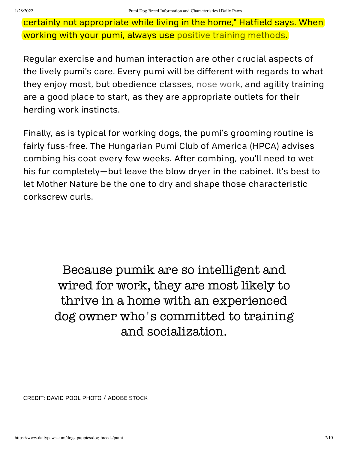certainly not appropriate while living in the home," Hatfield says. When working with your pumi, always use positive training [methods.](https://www.dailypaws.com/dogs-puppies/dog-training/basic/training-dog-with-treats)

Regular exercise and human interaction are other crucial aspects of the lively pumi's care. Every pumi will be different with regards to what they enjoy most, but obedience classes, nose [work,](https://www.dailypaws.com/dogs-puppies/dog-training/agility-competitive/nose-work-training-dogs) and agility [training](https://www.dailypaws.com/dogs-puppies/training/agility-competitive/dog-agility-training) are a good place to start, as they are appropriate outlets for their herding work instincts.

Finally, as is typical for working dogs, the pumi's grooming routine is fairly fuss-free. The [Hungarian](https://pumiclub.org/wp-content/uploads/2015/07/The-Pumi-Coat-and-Its-Grooming.pdf) Pumi Club of America (HPCA) advises [combing](https://www.dailypaws.com/gear-apparel/dog-supplies/dog-grooming-supplies/best-dog-brushes) his coat every few weeks. After combing, you'll need to wet his fur completely—but leave the blow dryer in the cabinet. It's best to let Mother Nature be the one to dry and shape those characteristic corkscrew curls.

> Because pumik are so intelligent and wired for work, they are most likely to thrive in a home with an experienced dog owner who's committed to training and socialization.

CREDIT: DAVID POOL PHOTO / ADOBE STOCK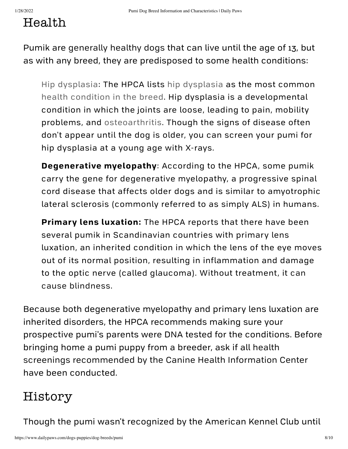## <span id="page-7-0"></span>Health

Pumik are [generally](https://www.dailypaws.com/living-with-pets/pet-compatibility/healthiest-dog-breeds) healthy dogs that can live until the age of 13, but as with any breed, they are predisposed to some health conditions:

Hip [dysplasia:](https://www.dailypaws.com/dogs-puppies/health-care/senior-dog-health/hip-dysplasia) The HPCA lists hip [dysplasia](https://www.dailypaws.com/dogs-puppies/health-care/senior-dog-health/hip-dysplasia) as the most common health [condition](https://pumiclub.org/about-the-pumi/pumi-health/) in the breed. Hip dysplasia is a developmental condition in which the joints are loose, leading to pain, mobility problems, and [osteoarthritis.](https://www.dailypaws.com/dogs-puppies/health-care/senior-dog-health/arthritis-in-dogs) Though the signs of disease often don't appear until the dog is older, you can screen your pumi for hip dysplasia at a young age with X-rays.

**Degenerative myelopathy**: According to the HPCA, some pumik carry the gene for degenerative myelopathy, a progressive spinal cord disease that affects older dogs and is similar to amyotrophic lateral sclerosis (commonly referred to as simply ALS) in humans.

**Primary lens luxation:** The HPCA reports that there have been several pumik in Scandinavian countries with primary lens luxation, an inherited condition in which the lens of the eye moves out of its normal position, resulting in inflammation and damage to the optic nerve (called [glaucoma\).](https://www.dailypaws.com/dogs-puppies/health-care/dog-conditions/how-to-tell-if-your-dog-is-going-blind) Without treatment, it can cause blindness.

Because both degenerative myelopathy and primary lens luxation are inherited disorders, the HPCA recommends making sure your prospective pumi's parents were DNA tested for the conditions. Before bringing home a pumi puppy from a breeder, ask if all health screenings [recommended](https://www.ofa.org/recommended-tests?breed=PM) by the Canine Health Information Center have been conducted.

### <span id="page-7-1"></span>History

Though the pumi wasn't recognized by the American Kennel Club until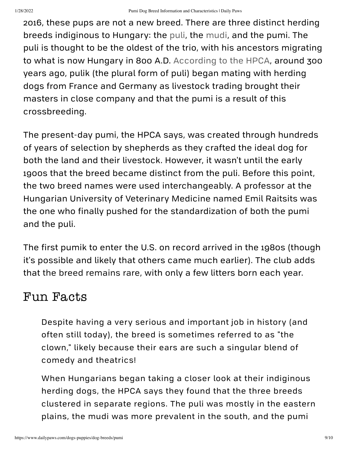2016, these pups are not a new breed. There are three distinct herding breeds indiginous to Hungary: the [puli,](https://www.dailypaws.com/dogs-puppies/dog-breeds/puli) the [mudi,](https://www.dailypaws.com/dogs-puppies/dog-breeds/mudi) and the pumi. The puli is thought to be the oldest of the trio, with his ancestors migrating to what is now Hungary in 800 A.D. [According](https://pumiclub.org/about-the-pumi/origins-and-history/) to the HPCA, around 300 years ago, pulik (the plural form of puli) began mating with herding dogs from France and Germany as livestock trading brought their masters in close company and that the pumi is a result of this crossbreeding.

The present-day pumi, the HPCA says, was created through hundreds of years of selection by shepherds as they crafted the ideal dog for both the land and their livestock. However, it wasn't until the early 1900s that the breed became distinct from the puli. Before this point, the two breed names were used interchangeably. A professor at the Hungarian University of Veterinary Medicine named Emil Raitsits was the one who finally pushed for the standardization of both the pumi and the puli.

The first pumik to enter the U.S. on record arrived in the 1980s (though it's possible and likely that others came much earlier). The club adds that the breed [remains](https://www.dailypaws.com/living-with-pets/pet-compatibility/rare-dog-breeds) rare, with only a few litters born each year.

### <span id="page-8-0"></span>Fun Facts

Despite having a very serious and important job in history (and often still today), the breed is sometimes referred to as "the clown," likely because their ears are such a singular blend of comedy and theatrics!

When Hungarians began taking a closer look at their indiginous herding dogs, the HPCA says they found that the three breeds clustered in separate regions. The puli was mostly in the eastern plains, the mudi was more prevalent in the south, and the pumi